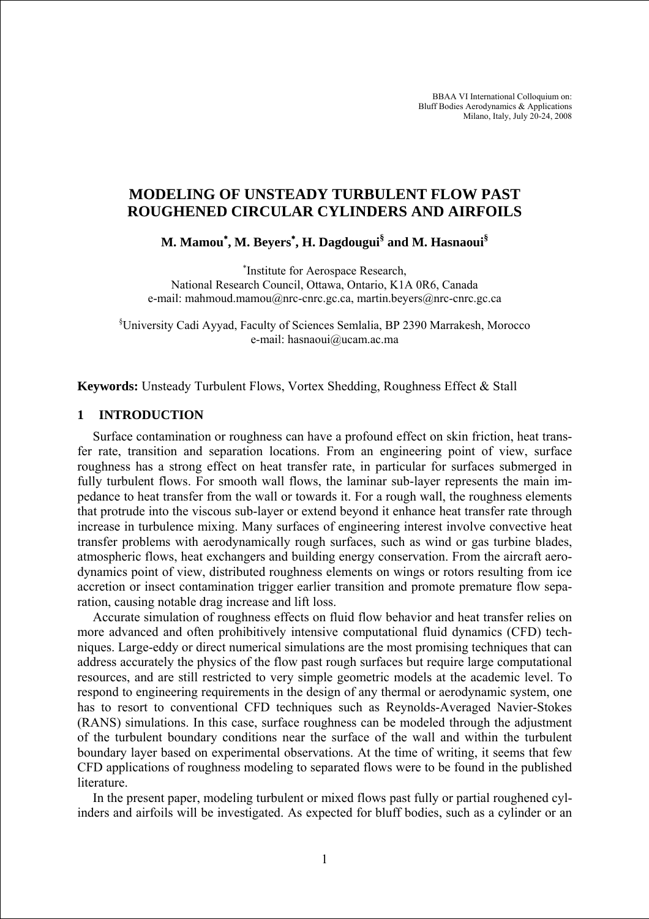BBAA VI International Colloquium on: Bluff Bodies Aerodynamics & Applications Milano, Italy, July 20-24, 2008

# **MODELING OF UNSTEADY TURBULENT FLOW PAST ROUGHENED CIRCULAR CYLINDERS AND AIRFOILS**

**M. Mamou**<sup>∗</sup> **, M. Beyers**<sup>∗</sup> **, H. Dagdougui§ and M. Hasnaoui§** 

∗ Institute for Aerospace Research, National Research Council, Ottawa, Ontario, K1A 0R6, Canada e-mail: mahmoud.mamou@nrc-cnrc.gc.ca, martin.beyers@nrc-cnrc.gc.ca

§ University Cadi Ayyad, Faculty of Sciences Semlalia, BP 2390 Marrakesh, Morocco e-mail: hasnaoui@ucam.ac.ma

**Keywords:** Unsteady Turbulent Flows, Vortex Shedding, Roughness Effect & Stall

#### **1 INTRODUCTION**

Surface contamination or roughness can have a profound effect on skin friction, heat transfer rate, transition and separation locations. From an engineering point of view, surface roughness has a strong effect on heat transfer rate, in particular for surfaces submerged in fully turbulent flows. For smooth wall flows, the laminar sub-layer represents the main impedance to heat transfer from the wall or towards it. For a rough wall, the roughness elements that protrude into the viscous sub-layer or extend beyond it enhance heat transfer rate through increase in turbulence mixing. Many surfaces of engineering interest involve convective heat transfer problems with aerodynamically rough surfaces, such as wind or gas turbine blades, atmospheric flows, heat exchangers and building energy conservation. From the aircraft aerodynamics point of view, distributed roughness elements on wings or rotors resulting from ice accretion or insect contamination trigger earlier transition and promote premature flow separation, causing notable drag increase and lift loss.

Accurate simulation of roughness effects on fluid flow behavior and heat transfer relies on more advanced and often prohibitively intensive computational fluid dynamics (CFD) techniques. Large-eddy or direct numerical simulations are the most promising techniques that can address accurately the physics of the flow past rough surfaces but require large computational resources, and are still restricted to very simple geometric models at the academic level. To respond to engineering requirements in the design of any thermal or aerodynamic system, one has to resort to conventional CFD techniques such as Reynolds-Averaged Navier-Stokes (RANS) simulations. In this case, surface roughness can be modeled through the adjustment of the turbulent boundary conditions near the surface of the wall and within the turbulent boundary layer based on experimental observations. At the time of writing, it seems that few CFD applications of roughness modeling to separated flows were to be found in the published literature.

In the present paper, modeling turbulent or mixed flows past fully or partial roughened cylinders and airfoils will be investigated. As expected for bluff bodies, such as a cylinder or an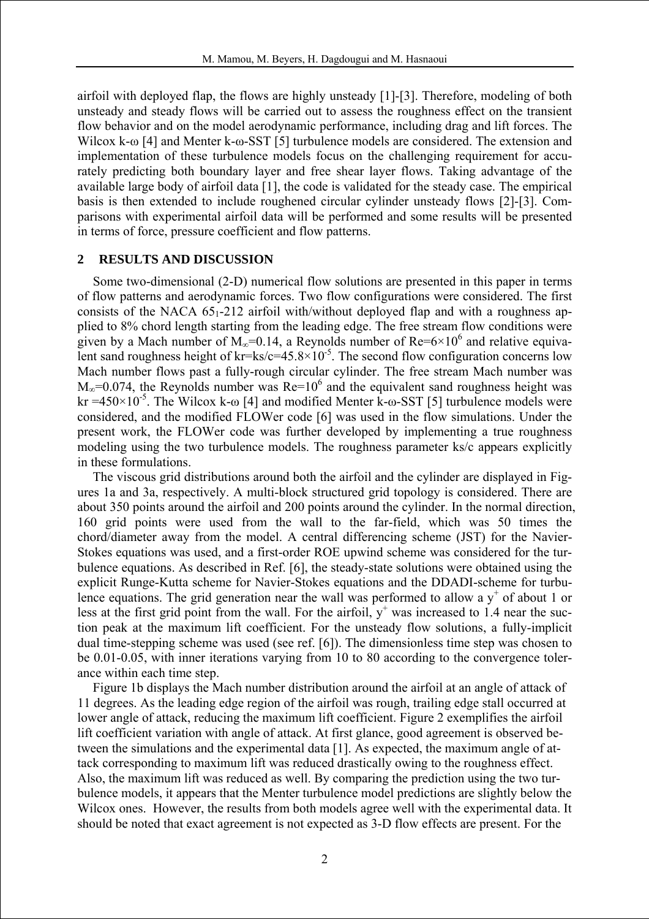airfoil with deployed flap, the flows are highly unsteady [1]-[3]. Therefore, modeling of both unsteady and steady flows will be carried out to assess the roughness effect on the transient flow behavior and on the model aerodynamic performance, including drag and lift forces. The Wilcox k-ω [4] and Menter k-ω-SST [5] turbulence models are considered. The extension and implementation of these turbulence models focus on the challenging requirement for accurately predicting both boundary layer and free shear layer flows. Taking advantage of the available large body of airfoil data [1], the code is validated for the steady case. The empirical basis is then extended to include roughened circular cylinder unsteady flows [2]-[3]. Comparisons with experimental airfoil data will be performed and some results will be presented in terms of force, pressure coefficient and flow patterns.

### **2 RESULTS AND DISCUSSION**

Some two-dimensional (2-D) numerical flow solutions are presented in this paper in terms of flow patterns and aerodynamic forces. Two flow configurations were considered. The first consists of the NACA  $65<sub>1</sub>$ -212 airfoil with/without deployed flap and with a roughness applied to 8% chord length starting from the leading edge. The free stream flow conditions were given by a Mach number of  $M_{\infty}$ =0.14, a Reynolds number of Re=6×10<sup>6</sup> and relative equivalent sand roughness height of kr=ks/c=45.8×10<sup>-5</sup>. The second flow configuration concerns low Mach number flows past a fully-rough circular cylinder. The free stream Mach number was  $M_{\infty}$ =0.074, the Reynolds number was Re=10<sup>6</sup> and the equivalent sand roughness height was kr =450×10<sup>-5</sup>. The Wilcox k-ω [4] and modified Menter k-ω-SST [5] turbulence models were considered, and the modified FLOWer code [6] was used in the flow simulations. Under the present work, the FLOWer code was further developed by implementing a true roughness modeling using the two turbulence models. The roughness parameter ks/c appears explicitly in these formulations.

The viscous grid distributions around both the airfoil and the cylinder are displayed in Figures 1a and 3a, respectively. A multi-block structured grid topology is considered. There are about 350 points around the airfoil and 200 points around the cylinder. In the normal direction, 160 grid points were used from the wall to the far-field, which was 50 times the chord/diameter away from the model. A central differencing scheme (JST) for the Navier-Stokes equations was used, and a first-order ROE upwind scheme was considered for the turbulence equations. As described in Ref. [6], the steady-state solutions were obtained using the explicit Runge-Kutta scheme for Navier-Stokes equations and the DDADI-scheme for turbulence equations. The grid generation near the wall was performed to allow a  $y^+$  of about 1 or less at the first grid point from the wall. For the airfoil,  $y^+$  was increased to 1.4 near the suction peak at the maximum lift coefficient. For the unsteady flow solutions, a fully-implicit dual time-stepping scheme was used (see ref. [6]). The dimensionless time step was chosen to be 0.01-0.05, with inner iterations varying from 10 to 80 according to the convergence tolerance within each time step.

Figure 1b displays the Mach number distribution around the airfoil at an angle of attack of 11 degrees. As the leading edge region of the airfoil was rough, trailing edge stall occurred at lower angle of attack, reducing the maximum lift coefficient. Figure 2 exemplifies the airfoil lift coefficient variation with angle of attack. At first glance, good agreement is observed between the simulations and the experimental data [1]. As expected, the maximum angle of attack corresponding to maximum lift was reduced drastically owing to the roughness effect. Also, the maximum lift was reduced as well. By comparing the prediction using the two turbulence models, it appears that the Menter turbulence model predictions are slightly below the Wilcox ones. However, the results from both models agree well with the experimental data. It should be noted that exact agreement is not expected as 3-D flow effects are present. For the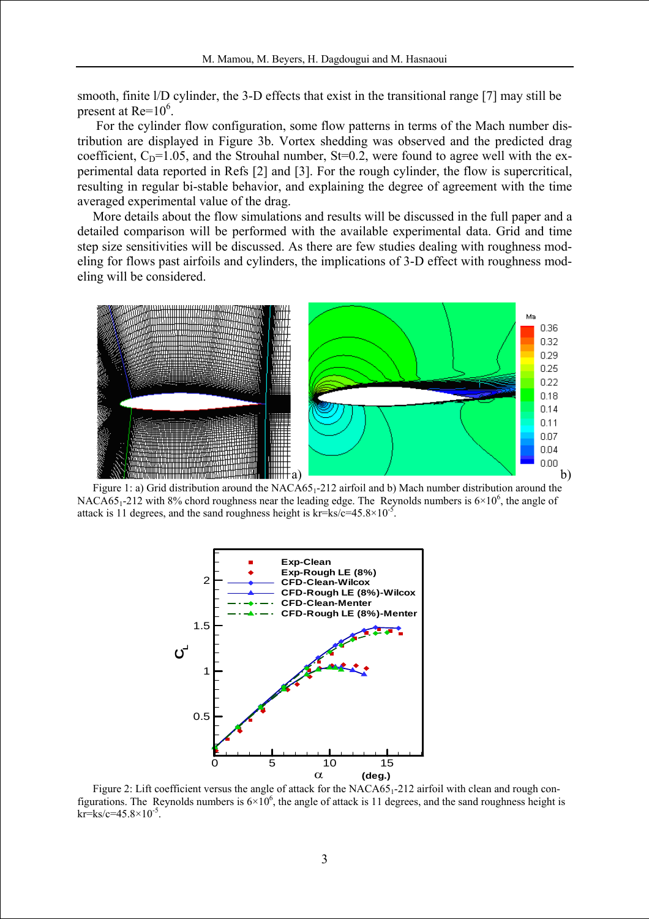smooth, finite l/D cylinder, the 3-D effects that exist in the transitional range [7] may still be present at  $Re=10^6$ .

 For the cylinder flow configuration, some flow patterns in terms of the Mach number distribution are displayed in Figure 3b. Vortex shedding was observed and the predicted drag coefficient,  $C_D$ =1.05, and the Strouhal number, St=0.2, were found to agree well with the experimental data reported in Refs [2] and [3]. For the rough cylinder, the flow is supercritical, resulting in regular bi-stable behavior, and explaining the degree of agreement with the time averaged experimental value of the drag.

More details about the flow simulations and results will be discussed in the full paper and a detailed comparison will be performed with the available experimental data. Grid and time step size sensitivities will be discussed. As there are few studies dealing with roughness modeling for flows past airfoils and cylinders, the implications of 3-D effect with roughness modeling will be considered.



Figure 1: a) Grid distribution around the  $NACA65<sub>1</sub>$ -212 airfoil and b) Mach number distribution around the NACA65<sub>1</sub>-212 with 8% chord roughness near the leading edge. The Reynolds numbers is  $6\times10^6$ , the angle of attack is 11 degrees, and the sand roughness height is  $kr = ks/c = 45.8 \times 10^{-5}$ .



Figure 2: Lift coefficient versus the angle of attack for the NACA65<sub>1</sub>-212 airfoil with clean and rough configurations. The Reynolds numbers is  $6\times10^6$ , the angle of attack is 11 degrees, and the sand roughness height is  $kr = ks/c = 45.8 \times 10^{-5}$ .